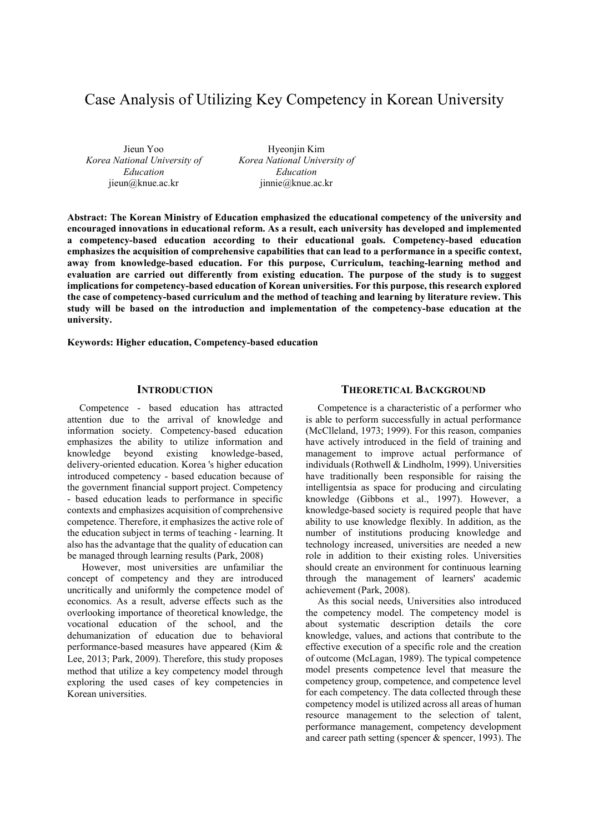# Case Analysis of Utilizing Key Competency in Korean University

Jieun Yoo *Korea National University of Education* jieun@knue.ac.kr

Hyeonjin Kim *Korea National University of Education* iinnie@knue.ac.kr

**Abstract: The Korean Ministry of Education emphasized the educational competency of the university and encouraged innovations in educational reform. As a result, each university has developed and implemented a competency-based education according to their educational goals. Competency-based education emphasizes the acquisition of comprehensive capabilities that can lead to a performance in a specific context, away from knowledge-based education. For this purpose, Curriculum, teaching-learning method and evaluation are carried out differently from existing education. The purpose of the study is to suggest implications for competency-based education of Korean universities. For this purpose, this research explored the case of competency-based curriculum and the method of teaching and learning by literature review. This study will be based on the introduction and implementation of the competency-base education at the university.** 

**Keywords: Higher education, Competency-based education**

#### **INTRODUCTION**

Competence - based education has attracted attention due to the arrival of knowledge and information society. Competency-based education emphasizes the ability to utilize information and knowledge beyond existing knowledge-based, delivery-oriented education. Korea 's higher education introduced competency - based education because of the government financial support project. Competency - based education leads to performance in specific contexts and emphasizes acquisition of comprehensive competence. Therefore, it emphasizes the active role of the education subject in terms of teaching - learning. It also has the advantage that the quality of education can be managed through learning results (Park, 2008)

 However, most universities are unfamiliar the concept of competency and they are introduced uncritically and uniformly the competence model of economics. As a result, adverse effects such as the overlooking importance of theoretical knowledge, the vocational education of the school, and the dehumanization of education due to behavioral performance-based measures have appeared (Kim & Lee, 2013; Park, 2009). Therefore, this study proposes method that utilize a key competency model through exploring the used cases of key competencies in Korean universities.

## **THEORETICAL BACKGROUND**

Competence is a characteristic of a performer who is able to perform successfully in actual performance (McClleland, 1973; 1999). For this reason, companies have actively introduced in the field of training and management to improve actual performance of individuals (Rothwell & Lindholm, 1999). Universities have traditionally been responsible for raising the intelligentsia as space for producing and circulating knowledge (Gibbons et al., 1997). However, a knowledge-based society is required people that have ability to use knowledge flexibly. In addition, as the number of institutions producing knowledge and technology increased, universities are needed a new role in addition to their existing roles. Universities should create an environment for continuous learning through the management of learners' academic achievement (Park, 2008).

As this social needs, Universities also introduced the competency model. The competency model is about systematic description details the core knowledge, values, and actions that contribute to the effective execution of a specific role and the creation of outcome (McLagan, 1989). The typical competence model presents competence level that measure the competency group, competence, and competence level for each competency. The data collected through these competency model is utilized across all areas of human resource management to the selection of talent, performance management, competency development and career path setting (spencer & spencer, 1993). The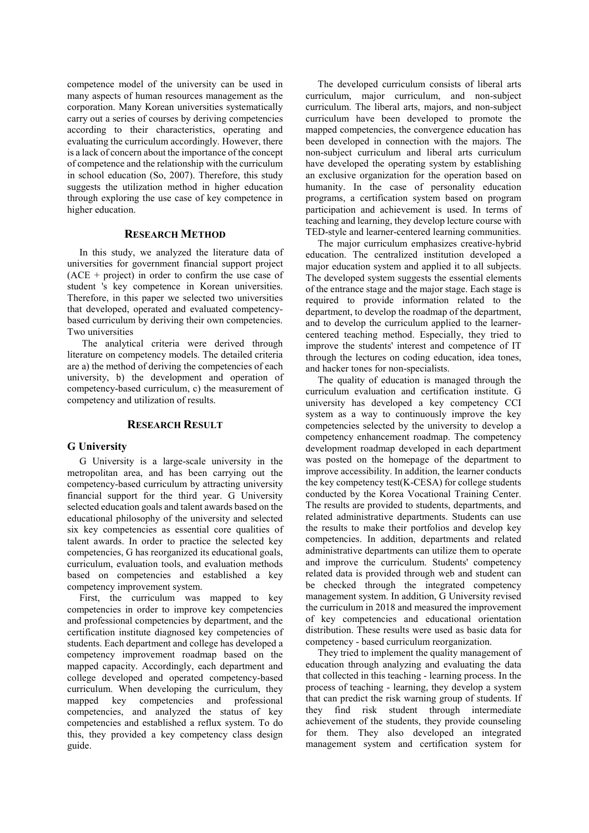competence model of the university can be used in many aspects of human resources management as the corporation. Many Korean universities systematically carry out a series of courses by deriving competencies according to their characteristics, operating and evaluating the curriculum accordingly. However, there is a lack of concern about the importance of the concept of competence and the relationship with the curriculum in school education (So, 2007). Therefore, this study suggests the utilization method in higher education through exploring the use case of key competence in higher education.

## **RESEARCH METHOD**

In this study, we analyzed the literature data of universities for government financial support project  $(ACE + project)$  in order to confirm the use case of student 's key competence in Korean universities. Therefore, in this paper we selected two universities that developed, operated and evaluated competencybased curriculum by deriving their own competencies. Two universities

 The analytical criteria were derived through literature on competency models. The detailed criteria are a) the method of deriving the competencies of each university, b) the development and operation of competency-based curriculum, c) the measurement of competency and utilization of results.

#### **RESEARCH RESULT**

#### **G University**

G University is a large-scale university in the metropolitan area, and has been carrying out the competency-based curriculum by attracting university financial support for the third year. G University selected education goals and talent awards based on the educational philosophy of the university and selected six key competencies as essential core qualities of talent awards. In order to practice the selected key competencies, G has reorganized its educational goals, curriculum, evaluation tools, and evaluation methods based on competencies and established a key competency improvement system.

First, the curriculum was mapped to key competencies in order to improve key competencies and professional competencies by department, and the certification institute diagnosed key competencies of students. Each department and college has developed a competency improvement roadmap based on the mapped capacity. Accordingly, each department and college developed and operated competency-based curriculum. When developing the curriculum, they mapped key competencies and professional competencies, and analyzed the status of key competencies and established a reflux system. To do this, they provided a key competency class design guide.

The developed curriculum consists of liberal arts curriculum, major curriculum, and non-subject curriculum. The liberal arts, majors, and non-subject curriculum have been developed to promote the mapped competencies, the convergence education has been developed in connection with the majors. The non-subject curriculum and liberal arts curriculum have developed the operating system by establishing an exclusive organization for the operation based on humanity. In the case of personality education programs, a certification system based on program participation and achievement is used. In terms of teaching and learning, they develop lecture course with TED-style and learner-centered learning communities.

The major curriculum emphasizes creative-hybrid education. The centralized institution developed a major education system and applied it to all subjects. The developed system suggests the essential elements of the entrance stage and the major stage. Each stage is required to provide information related to the department, to develop the roadmap of the department, and to develop the curriculum applied to the learnercentered teaching method. Especially, they tried to improve the students' interest and competence of IT through the lectures on coding education, idea tones, and hacker tones for non-specialists.

The quality of education is managed through the curriculum evaluation and certification institute. G university has developed a key competency CCI system as a way to continuously improve the key competencies selected by the university to develop a competency enhancement roadmap. The competency development roadmap developed in each department was posted on the homepage of the department to improve accessibility. In addition, the learner conducts the key competency test(K-CESA) for college students conducted by the Korea Vocational Training Center. The results are provided to students, departments, and related administrative departments. Students can use the results to make their portfolios and develop key competencies. In addition, departments and related administrative departments can utilize them to operate and improve the curriculum. Students' competency related data is provided through web and student can be checked through the integrated competency management system. In addition, G University revised the curriculum in 2018 and measured the improvement of key competencies and educational orientation distribution. These results were used as basic data for competency - based curriculum reorganization.

They tried to implement the quality management of education through analyzing and evaluating the data that collected in this teaching - learning process. In the process of teaching - learning, they develop a system that can predict the risk warning group of students. If they find risk student through intermediate achievement of the students, they provide counseling for them. They also developed an integrated management system and certification system for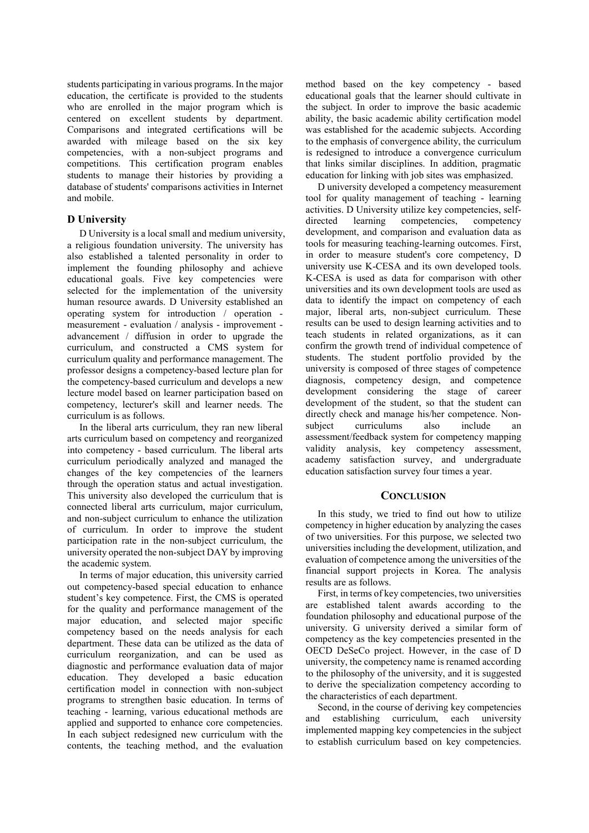students participating in various programs. In the major education, the certificate is provided to the students who are enrolled in the major program which is centered on excellent students by department. Comparisons and integrated certifications will be awarded with mileage based on the six key competencies, with a non-subject programs and competitions. This certification program enables students to manage their histories by providing a database of students' comparisons activities in Internet and mobile.

## **D University**

D University is a local small and medium university, a religious foundation university. The university has also established a talented personality in order to implement the founding philosophy and achieve educational goals. Five key competencies were selected for the implementation of the university human resource awards. D University established an operating system for introduction / operation measurement - evaluation / analysis - improvement advancement / diffusion in order to upgrade the curriculum, and constructed a CMS system for curriculum quality and performance management. The professor designs a competency-based lecture plan for the competency-based curriculum and develops a new lecture model based on learner participation based on competency, lecturer's skill and learner needs. The curriculum is as follows.

In the liberal arts curriculum, they ran new liberal arts curriculum based on competency and reorganized into competency - based curriculum. The liberal arts curriculum periodically analyzed and managed the changes of the key competencies of the learners through the operation status and actual investigation. This university also developed the curriculum that is connected liberal arts curriculum, major curriculum, and non-subject curriculum to enhance the utilization of curriculum. In order to improve the student participation rate in the non-subject curriculum, the university operated the non-subject DAY by improving the academic system.

In terms of major education, this university carried out competency-based special education to enhance student's key competence. First, the CMS is operated for the quality and performance management of the major education, and selected major specific competency based on the needs analysis for each department. These data can be utilized as the data of curriculum reorganization, and can be used as diagnostic and performance evaluation data of major education. They developed a basic education certification model in connection with non-subject programs to strengthen basic education. In terms of teaching - learning, various educational methods are applied and supported to enhance core competencies. In each subject redesigned new curriculum with the contents, the teaching method, and the evaluation method based on the key competency - based educational goals that the learner should cultivate in the subject. In order to improve the basic academic ability, the basic academic ability certification model was established for the academic subjects. According to the emphasis of convergence ability, the curriculum is redesigned to introduce a convergence curriculum that links similar disciplines. In addition, pragmatic education for linking with job sites was emphasized.

D university developed a competency measurement tool for quality management of teaching - learning activities. D University utilize key competencies, selfdirected learning competencies, competency development, and comparison and evaluation data as tools for measuring teaching-learning outcomes. First, in order to measure student's core competency, D university use K-CESA and its own developed tools. K-CESA is used as data for comparison with other universities and its own development tools are used as data to identify the impact on competency of each major, liberal arts, non-subject curriculum. These results can be used to design learning activities and to teach students in related organizations, as it can confirm the growth trend of individual competence of students. The student portfolio provided by the university is composed of three stages of competence diagnosis, competency design, and competence development considering the stage of career development of the student, so that the student can directly check and manage his/her competence. Nonsubject curriculums also include an assessment/feedback system for competency mapping validity analysis, key competency assessment, academy satisfaction survey, and undergraduate education satisfaction survey four times a year.

## **CONCLUSION**

In this study, we tried to find out how to utilize competency in higher education by analyzing the cases of two universities. For this purpose, we selected two universities including the development, utilization, and evaluation of competence among the universities of the financial support projects in Korea. The analysis results are as follows.

First, in terms of key competencies, two universities are established talent awards according to the foundation philosophy and educational purpose of the university. G university derived a similar form of competency as the key competencies presented in the OECD DeSeCo project. However, in the case of D university, the competency name is renamed according to the philosophy of the university, and it is suggested to derive the specialization competency according to the characteristics of each department.

Second, in the course of deriving key competencies and establishing curriculum, each university implemented mapping key competencies in the subject to establish curriculum based on key competencies.